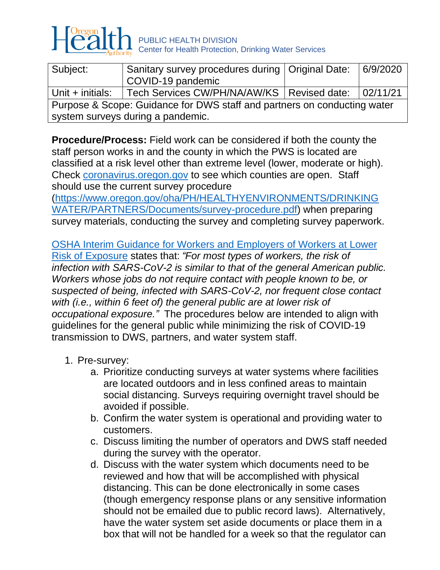

| Subject:                                                                 | Sanitary survey procedures during   Original Date: |  | 6/9/2020  |  |  |
|--------------------------------------------------------------------------|----------------------------------------------------|--|-----------|--|--|
|                                                                          | COVID-19 pandemic                                  |  |           |  |  |
| Unit + initials:                                                         | Tech Services CW/PH/NA/AW/KS   Revised date:       |  | 102/11/21 |  |  |
| Purpose & Scope: Guidance for DWS staff and partners on conducting water |                                                    |  |           |  |  |
| system surveys during a pandemic.                                        |                                                    |  |           |  |  |

**Procedure/Process:** Field work can be considered if both the county the staff person works in and the county in which the PWS is located are classified at a risk level other than extreme level (lower, moderate or high). Check [coronavirus.oregon.gov](https://coronavirus.oregon.gov/Pages/living-with-covid-19.aspx) to see which counties are open. Staff should use the current survey procedure

[\(https://www.oregon.gov/oha/PH/HEALTHYENVIRONMENTS/DRINKING](https://www.oregon.gov/oha/PH/HEALTHYENVIRONMENTS/DRINKINGWATER/PARTNERS/Documents/survey-procedure.pdf) [WATER/PARTNERS/Documents/survey-procedure.pdf\)](https://www.oregon.gov/oha/PH/HEALTHYENVIRONMENTS/DRINKINGWATER/PARTNERS/Documents/survey-procedure.pdf) when preparing survey materials, conducting the survey and completing survey paperwork.

[OSHA Interim Guidance for Workers and Employers of Workers at Lower](https://www.osha.gov/SLTC/covid-19/controlprevention.html#interim_guidance)  Risk of [Exposure](https://www.osha.gov/SLTC/covid-19/controlprevention.html#interim_guidance) states that: *"For most types of workers, the risk of infection with SARS-CoV-2 is similar to that of the general American public. Workers whose jobs do not require contact with people known to be, or suspected of being, infected with SARS-CoV-2, nor frequent close contact with (i.e., within 6 feet of) the general public are at lower risk of occupational exposure."* The procedures below are intended to align with guidelines for the general public while minimizing the risk of COVID-19 transmission to DWS, partners, and water system staff.

- 1. Pre-survey:
	- a. Prioritize conducting surveys at water systems where facilities are located outdoors and in less confined areas to maintain social distancing. Surveys requiring overnight travel should be avoided if possible.
	- b. Confirm the water system is operational and providing water to customers.
	- c. Discuss limiting the number of operators and DWS staff needed during the survey with the operator.
	- d. Discuss with the water system which documents need to be reviewed and how that will be accomplished with physical distancing. This can be done electronically in some cases (though emergency response plans or any sensitive information should not be emailed due to public record laws). Alternatively, have the water system set aside documents or place them in a box that will not be handled for a week so that the regulator can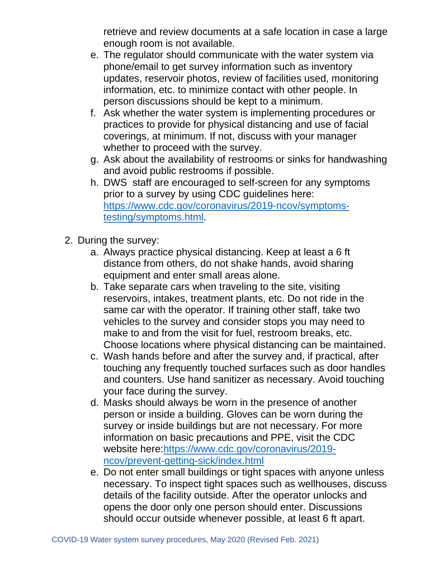retrieve and review documents at a safe location in case a large enough room is not available.

- e. The regulator should communicate with the water system via phone/email to get survey information such as inventory updates, reservoir photos, review of facilities used, monitoring information, etc. to minimize contact with other people. In person discussions should be kept to a minimum.
- f. Ask whether the water system is implementing procedures or practices to provide for physical distancing and use of facial coverings, at minimum. If not, discuss with your manager whether to proceed with the survey.
- g. Ask about the availability of restrooms or sinks for handwashing and avoid public restrooms if possible.
- h. DWS staff are encouraged to self-screen for any symptoms prior to a survey by using CDC guidelines here: [https://www.cdc.gov/coronavirus/2019-ncov/symptoms](https://www.cdc.gov/coronavirus/2019-ncov/symptoms-testing/symptoms.html)[testing/symptoms.html.](https://www.cdc.gov/coronavirus/2019-ncov/symptoms-testing/symptoms.html)
- 2. During the survey:
	- a. Always practice physical distancing. Keep at least a 6 ft distance from others, do not shake hands, avoid sharing equipment and enter small areas alone.
	- b. Take separate cars when traveling to the site, visiting reservoirs, intakes, treatment plants, etc. Do not ride in the same car with the operator. If training other staff, take two vehicles to the survey and consider stops you may need to make to and from the visit for fuel, restroom breaks, etc. Choose locations where physical distancing can be maintained.
	- c. Wash hands before and after the survey and, if practical, after touching any frequently touched surfaces such as door handles and counters. Use hand sanitizer as necessary. Avoid touching your face during the survey.
	- d. Masks should always be worn in the presence of another person or inside a building. Gloves can be worn during the survey or inside buildings but are not necessary. For more information on basic precautions and PPE, visit the CDC website here[:https://www.cdc.gov/coronavirus/2019](https://www.cdc.gov/coronavirus/2019-ncov/prevent-getting-sick/index.html) [ncov/prevent-getting-sick/index.html](https://www.cdc.gov/coronavirus/2019-ncov/prevent-getting-sick/index.html)
	- e. Do not enter small buildings or tight spaces with anyone unless necessary. To inspect tight spaces such as wellhouses, discuss details of the facility outside. After the operator unlocks and opens the door only one person should enter. Discussions should occur outside whenever possible, at least 6 ft apart.